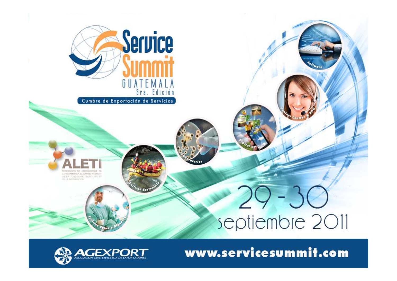

Cumbre de Exportación de Servicios



# septiembre 2011

www.servicesummit.com

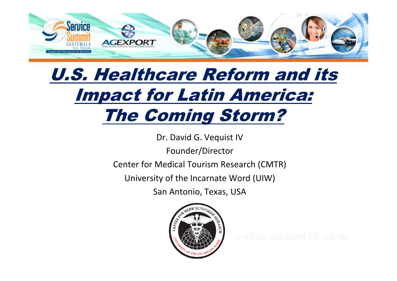

### *U.S. Healthcare Reform and its Impact for Latin America: The Coming Storm?*

Dr. David G. Vequist IV

Founder/Director

Center for Medical Tourism Research (CMTR)

University of the Incarnate Word (UIW)

San Antonio, Texas, USA

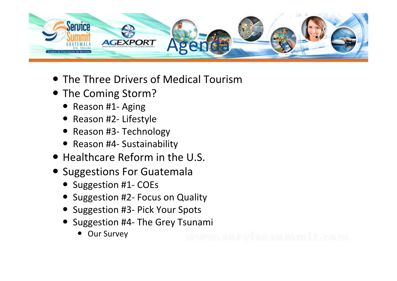

- The Three Drivers of Medical Tourism
- The Coming Storm?
	- Reason #1- Aging
	- Reason #2- Lifestyle
	- Reason #3- Technology
	- Reason #4- Sustainability
- Healthcare Reform in the U.S.
- **•** Suggestions For Guatemala
	- Suggestion #1- COEs
	- Suggestion #2- Focus on Quality
	- Suggestion #3- Pick Your Spots
	- Suggestion #4- The Grey Tsunami
		- Our Survey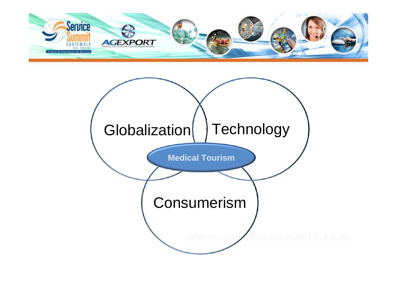

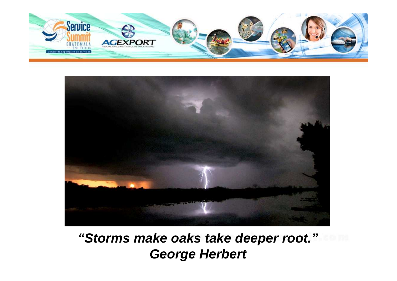



### **"Storms make oaks take deeper root."George Herbert**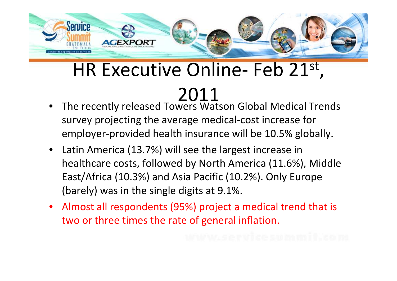

### HR Executive Online- Feb 21st,

### 2011

- • The recently released Towers Watson Global Medical Trends survey projecting the average medical-cost increase for employer-provided health insurance will be 10.5% globally.
- $\bullet$  Latin America (13.7%) will see the largest increase in healthcare costs, followed by North America (11.6%), Middle East/Africa (10.3%) and Asia Pacific (10.2%). Only Europe (barely) was in the single digits at 9.1%.
- Almost all respondents (95%) project a medical trend that is two or three times the rate of general inflation.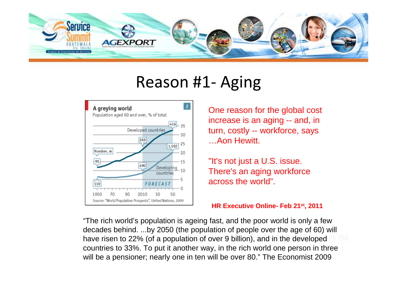

### Reason #1- Aging



One reason for the global cost increase is an aging -- and, in turn, costly -- workforce, says …Aon Hewitt.

"It's not just a U.S. issue. There's an aging workforce across the world".

**HR Executive Online- Feb 21st, 2011**

"The rich world's population is ageing fast, and the poor world is only a few decades behind. ...by 2050 (the population of people over the age of 60) will have risen to 22% (of a population of over 9 billion), and in the developed countries to 33%. To put it another way, in the rich world one person in three will be a pensioner; nearly one in ten will be over 80." The Economist 2009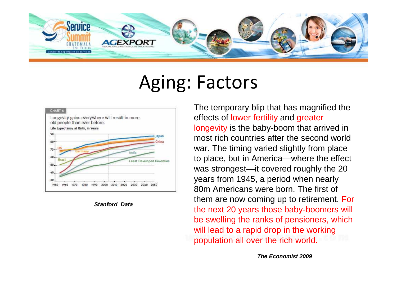

### Aging: Factors



**Stanford Data**

The temporary blip that has magnified the effects of lower fertility and greater longevity is the baby-boom that arrived in most rich countries after the second world war. The timing varied slightly from place to place, but in America—where the effect was strongest—it covered roughly the 20 years from 1945, a period when nearly 80m Americans were born. The first of them are now coming up to retirement. For the next 20 years those baby-boomers will be swelling the ranks of pensioners, which will lead to a rapid drop in the working population all over the rich world.

**The Economist 2009**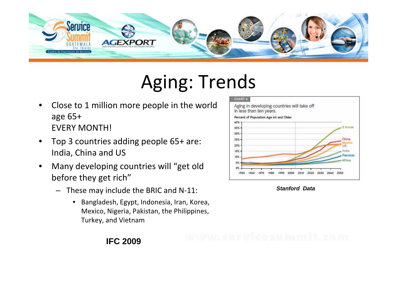

## Aging: Trends

- • Close to 1 million more people in the world age 65+ EVERY MONTH!
- • Top 3 countries adding people 65+ are: India, China and US
- • Many developing countries will "get old before they get rich"
	- – These may include the BRIC and N-11:
		- $\bullet$  Bangladesh, Egypt, Indonesia, Iran, Korea, Mexico, Nigeria, Pakistan, the Philippines, Turkey, and Vietnam



**Stanford Data**

### **IFC 2009**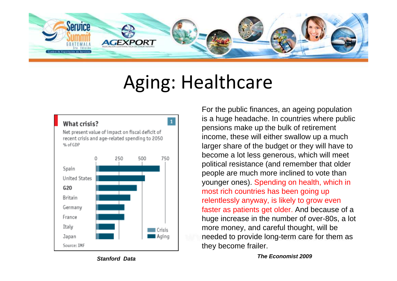

### Aging: Healthcare



**Stanford Data**

For the public finances, an ageing population is a huge headache. In countries where public pensions make up the bulk of retirement income, these will either swallow up a much larger share of the budget or they will have to become a lot less generous, which will meet political resistance (and remember that older people are much more inclined to vote than younger ones). Spending on health, which in most rich countries has been going up relentlessly anyway, is likely to grow even faster as patients get older. And because of a huge increase in the number of over-80s, a lot more money, and careful thought, will be needed to provide long-term care for them as they become frailer.

#### **The Economist 2009**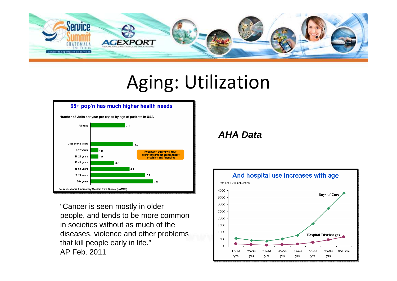

## Aging: Utilization



"Cancer is seen mostly in older people, and tends to be more common in societies without as much of the diseases, violence and other problems that kill people early in life."AP Feb. 2011

### **AHA Data**

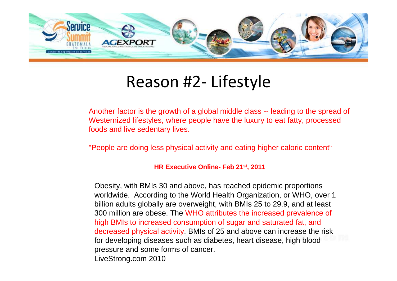

### Reason #2- Lifestyle

Another factor is the growth of a global middle class -- leading to the spread of Westernized lifestyles, where people have the luxury to eat fatty, processed foods and live sedentary lives.

"People are doing less physical activity and eating higher caloric content"

#### **HR Executive Online- Feb 21st, 2011**

Obesity, with BMIs 30 and above, has reached epidemic proportions worldwide. According to the World Health Organization, or WHO, over 1 billion adults globally are overweight, with BMIs 25 to 29.9, and at least 300 million are obese. The WHO attributes the increased prevalence of high BMIs to increased consumption of sugar and saturated fat, and decreased physical activity. BMIs of 25 and above can increase the risk for developing diseases such as diabetes, heart disease, high blood pressure and some forms of cancer.LiveStrong.com 2010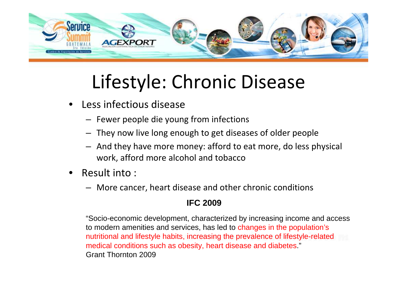

## Lifestyle: Chronic Disease

- • Less infectious disease
	- Fewer people die young from infections
	- They now live long enough to get diseases of older people
	- And they have more money: afford to eat more, do less physical work, afford more alcohol and tobacco
- • Result into :
	- More cancer, heart disease and other chronic conditions

### **IFC 2009**

"Socio-economic development, characterized by increasing income and access to modern amenities and services, has led to changes in the population's nutritional and lifestyle habits, increasing the prevalence of lifestyle-related medical conditions such as obesity, heart disease and diabetes."Grant Thornton 2009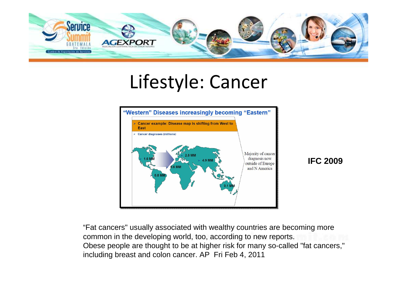

### Lifestyle: Cancer



**IFC 2009**

"Fat cancers" usually associated with wealthy countries are becoming more common in the developing world, too, according to new reports.Obese people are thought to be at higher risk for many so-called "fat cancers," including breast and colon cancer. AP Fri Feb 4, 2011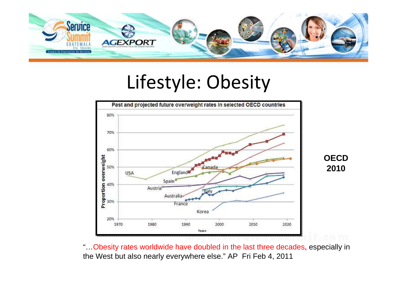

### Lifestyle: Obesity



"…Obesity rates worldwide have doubled in the last three decades, especially in the West but also nearly everywhere else." AP Fri Feb 4, 2011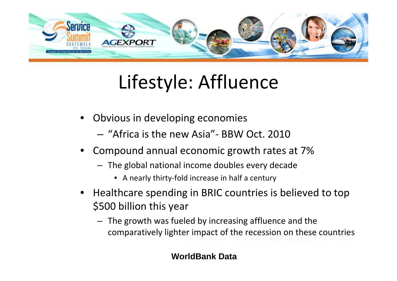

## Lifestyle: Affluence

- • Obvious in developing economies
	- and the state of the  $-$  "Africa is the new Asia"- BBW Oct. 2010
- • Compound annual economic growth rates at 7%
	- The global national income doubles every decade
		- A nearly thirty-fold increase in half a century
- Healthcare spending in BRIC countries is believed to top \$500 billion this year
	- The growth was fueled by increasing affluence and the comparatively lighter impact of the recession on these countries

### **WorldBank Data**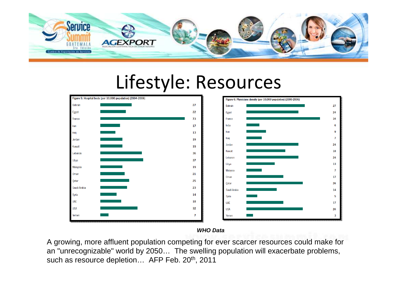

#### Lifestyle: ResourcesFigure 5: Hospital beds (per 10,000 population) (2004-2006) Figure 6: Physicians density (per 10,000 population) (2000-2006  $27$ Bahrain 22 Egypt 73 France  $17$ India Iran



#### **WHO Data**

A growing, more affluent population competing for ever scarcer resources could make for an "unrecognizable" world by 2050… The swelling population will exacerbate problems, such as resource depletion... AFP Feb. 20<sup>th</sup>, 2011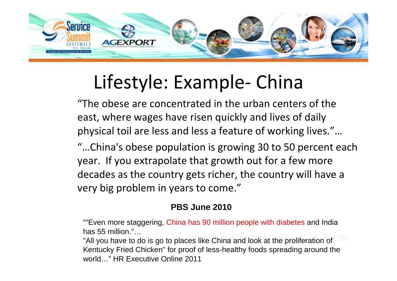

## Lifestyle: Example- China

 "The obese are concentrated in the urban centers of the east, where wages have risen quickly and lives of daily physical toil are less and less a feature of working lives."…

 "…China's obese population is growing 30 to 50 percent each year. If you extrapolate that growth out for a few more decades as the country gets richer, the country will have a very big problem in years to come."

### **PBS June 2010**

""Even more staggering, China has 90 million people with diabetes and India has 55 million."…

 "All you have to do is go to places like China and look at the proliferation of Kentucky Fried Chicken" for proof of less-healthy foods spreading around the world…" HR Executive Online 2011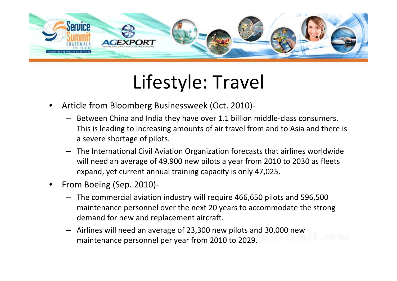

### Lifestyle: Travel

- • Article from Bloomberg Businessweek (Oct. 2010)-
	- Between China and India they have over 1.1 billion middle-class consumers. This is leading to increasing amounts of air travel from and to Asia and there is a severe shortage of pilots.
	- – The International Civil Aviation Organization forecasts that airlines worldwide will need an average of 49,900 new pilots a year from 2010 to 2030 as fleets expand, yet current annual training capacity is only 47,025.
- • From Boeing (Sep. 2010)-
	- The commercial aviation industry will require 466,650 pilots and 596,500 maintenance personnel over the next 20 years to accommodate the strong demand for new and replacement aircraft.
	- – Airlines will need an average of 23,300 new pilots and 30,000 new maintenance personnel per year from 2010 to 2029.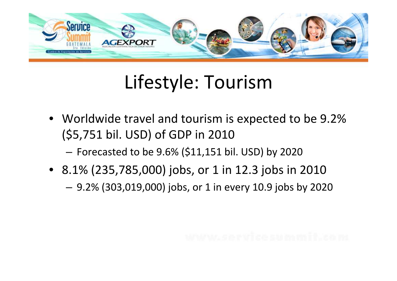

## Lifestyle: Tourism

• Worldwide travel and tourism is expected to be 9.2%(\$5,751 bil. USD) of GDP in 2010

**Links of the Company** Forecasted to be 9.6% (\$11,151 bil. USD) by 2020

- 8.1% (235,785,000) jobs, or 1 in 12.3 jobs in 2010
	- –9.2% (303,019,000) jobs, or 1 in every 10.9 jobs by 2020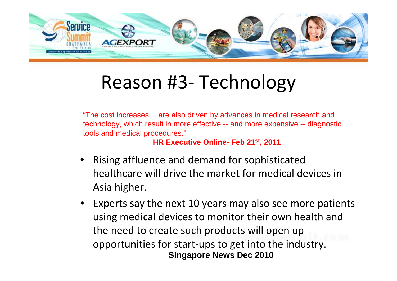

## Reason #3- Technology

"The cost increases… are also driven by advances in medical research and technology, which result in more effective -- and more expensive -- diagnostic tools and medical procedures."

**HR Executive Online- Feb 21st, <sup>2011</sup>**

- • Rising affluence and demand for sophisticated healthcare will drive the market for medical devices in Asia higher.
- Experts say the next 10 years may also see more patients using medical devices to monitor their own health and the need to create such products will open up opportunities for start-ups to get into the industry. **Singapore News Dec 2010**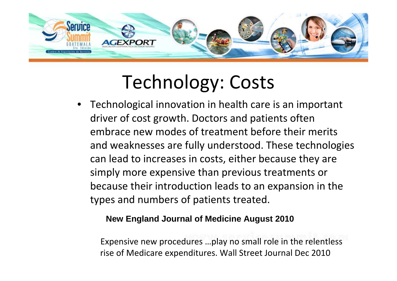

## Technology: Costs

• Technological innovation in health care is an important driver of cost growth. Doctors and patients often embrace new modes of treatment before their merits and weaknesses are fully understood. These technologies can lead to increases in costs, either because they are simply more expensive than previous treatments or because their introduction leads to an expansion in the types and numbers of patients treated.

### **New England Journal of Medicine August 2010**

Expensive new procedures …play no small role in the relentless rise of Medicare expenditures. Wall Street Journal Dec 2010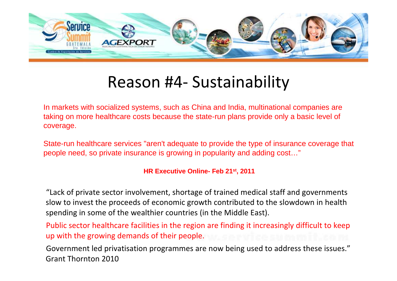

### Reason #4- Sustainability

In markets with socialized systems, such as China and India, multinational companies are taking on more healthcare costs because the state-run plans provide only a basic level of coverage.

State-run healthcare services "aren't adequate to provide the type of insurance coverage that people need, so private insurance is growing in popularity and adding cost…"

#### **HR Executive Online- Feb 21st, 2011**

"Lack of private sector involvement, shortage of trained medical staff and governments slow to invest the proceeds of economic growth contributed to the slowdown in health spending in some of the wealthier countries (in the Middle East).

Public sector healthcare facilities in the region are finding it increasingly difficult to keep up with the growing demands of their people.

Government led privatisation programmes are now being used to address these issues."Grant Thornton 2010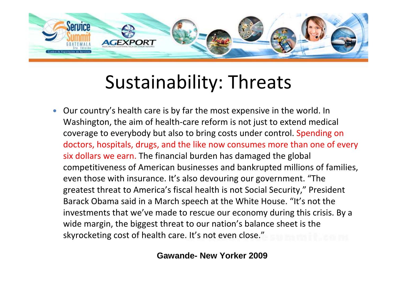

## Sustainability: Threats

 $\bullet$  Our country's health care is by far the most expensive in the world. In Washington, the aim of health-care reform is not just to extend medical coverage to everybody but also to bring costs under control. Spending on doctors, hospitals, drugs, and the like now consumes more than one of every six dollars we earn. The financial burden has damaged the global competitiveness of American businesses and bankrupted millions of families, even those with insurance. It's also devouring our government. "The greatest threat to America's fiscal health is not Social Security," President Barack Obama said in a March speech at the White House. "It's not the investments that we've made to rescue our economy during this crisis. By a wide margin, the biggest threat to our nation's balance sheet is the skyrocketing cost of health care. It's not even close."

### **Gawande- New Yorker 2009**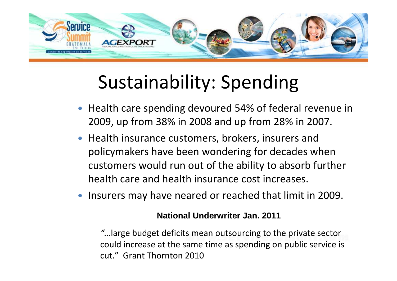

## Sustainability: Spending

- Health care spending devoured 54% of federal revenue in 2009, up from 38% in 2008 and up from 28% in 2007.
- Health insurance customers, brokers, insurers and policymakers have been wondering for decades when customers would run out of the ability to absorb further health care and health insurance cost increases.
- **•** Insurers may have neared or reached that limit in 2009.

### **National Underwriter Jan. 2011**

"…large budget deficits mean outsourcing to the private sector could increase at the same time as spending on public service iscut." Grant Thornton 2010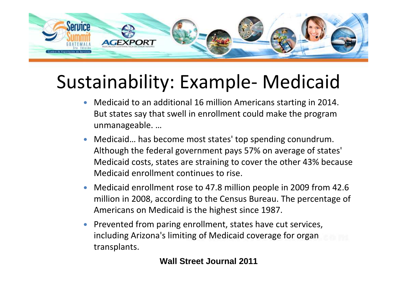

## Sustainability: Example- Medicaid

- Medicaid to an additional 16 million Americans starting in 2014.  $\bullet$ But states say that swell in enrollment could make the program unmanageable. …
- Medicaid… has become most states' top spending conundrum.  $\bullet$ Although the federal government pays 57% on average of states' Medicaid costs, states are straining to cover the other 43% because Medicaid enrollment continues to rise.
- $\bullet$  Medicaid enrollment rose to 47.8 million people in 2009 from 42.6 million in 2008, according to the Census Bureau. The percentage of Americans on Medicaid is the highest since 1987.
- Prevented from paring enrollment, states have cut services, including Arizona's limiting of Medicaid coverage for organ transplants.

### **Wall Street Journal 2011**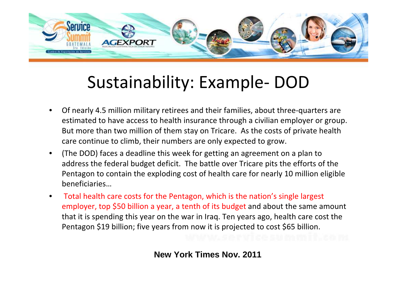

### Sustainability: Example- DOD

- • Of nearly 4.5 million military retirees and their families, about three-quarters are estimated to have access to health insurance through a civilian employer or group. But more than two million of them stay on Tricare. As the costs of private health care continue to climb, their numbers are only expected to grow.
- • (The DOD) faces a deadline this week for getting an agreement on a plan to address the federal budget deficit. The battle over Tricare pits the efforts of the Pentagon to contain the exploding cost of health care for nearly 10 million eligible beneficiaries…
- Total health care costs for the Pentagon, which is the nation's single largest  $\bullet$ employer, top \$50 billion a year, a tenth of its budget and about the same amount that it is spending this year on the war in Iraq. Ten years ago, health care cost the Pentagon \$19 billion; five years from now it is projected to cost \$65 billion.

**New York Times Nov. 2011**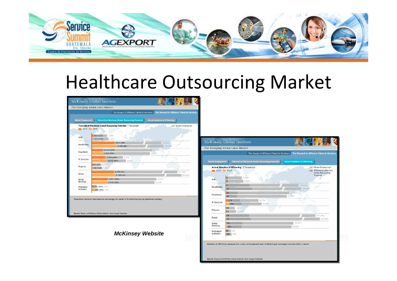

### Healthcare Outsourcing Market

| <b>Global Employment</b> | <b>Theoretical Maximum Global Resourcing Potential</b>                                               | <b>Actual Adoption of Offshoring</b> |                    |
|--------------------------|------------------------------------------------------------------------------------------------------|--------------------------------------|--------------------|
| 2003                     | Theoretical Maximum Global Resourcing Potential   Thousands<br>2008                                  |                                      | Global Employment  |
| Auto                     | 339 (11%)<br>3:084<br>371 (11%)<br>3,373                                                             |                                      |                    |
| Healthcare               | 4,611 (8%)<br>5,080 (8%)                                                                             | 59,501<br>65,560                     |                    |
| Insurance                | 2,312 (19%)<br>2,223 (19%)                                                                           | 12,193<br>11,723                     |                    |
| <b>IT Services</b>       | 6,278<br>2,765 (44%)<br>6,888<br>3,034 (44%)                                                         |                                      |                    |
| Pharma                   | 221 (13%) 1.731<br>254 (13%) 1,989                                                                   |                                      |                    |
| Retail                   | 4,508 (3%)<br>4,768 (3%)                                                                             |                                      | 147,461<br>155,961 |
| Retail<br>Banking        | 3,237 (25%)<br>3.148 (25%)                                                                           | 13,017<br>12,659                     |                    |
| Packaged<br>Software     | 292 (49%) 595<br>339 (49%) 690                                                                       |                                      |                    |
|                          | Theoretical maximum describes the percentage of a sector or function that may be performed remotely. |                                      |                    |

**McKinsey Website**

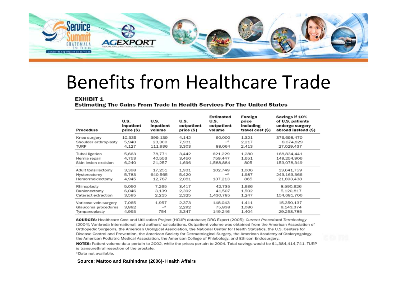

### Benefits from Healthcare Trade

#### **EXHIBIT 1**

**Estimating The Gains From Trade In Health Services For The United States** 

| Procedure             | U.S.<br>inpatient<br>price (\$) | U.S.<br>inpatient<br>volume | U.S.<br>outpatient<br>price (\$) | Estimated<br>U.S.<br>outpatient<br>volume | Foreign<br>price<br>including<br>travel cost (\$) | Savings if 10%<br>of U.S. patients<br>undergo surgery<br>abroad instead (\$) |  |  |  |
|-----------------------|---------------------------------|-----------------------------|----------------------------------|-------------------------------------------|---------------------------------------------------|------------------------------------------------------------------------------|--|--|--|
| Knee surgery          | 10,335                          | 399,139                     | 4.142                            | 60,000                                    | 1.321                                             | 376,698,470                                                                  |  |  |  |
| Shoulder arthroplasty | 5.940                           | 23,300                      | 7.931                            | $-a$                                      | 2.217                                             | 8,674,829                                                                    |  |  |  |
| TURP                  | 4.127                           | 111,936                     | 3,303                            | 88,064                                    | 2.413                                             | 27.029.437                                                                   |  |  |  |
| Tubal ligation        | 5,663                           | 78.771                      | 3.442                            | 621.229                                   | 1.280                                             | 168,834,441                                                                  |  |  |  |
| Hernia repair         | 4.753                           | 40,553                      | 3,450                            | 759.447                                   | 1.651                                             | 149,254,906                                                                  |  |  |  |
| Skin lesion excision  | 6,240                           | 21,257                      | 1.696                            | 1,588,884                                 | 805                                               | 153,078,349                                                                  |  |  |  |
| Adult tonsillectomy   | 3,398                           | 17.251                      | 1,931                            | 102,749                                   | 1.006                                             | 13,641,759                                                                   |  |  |  |
| Hysterectomy          | 5,783                           | 640,565                     | 5,420                            | $-a$                                      | 1.987                                             | 243,163,366                                                                  |  |  |  |
| Hemorrhoidectomy      | 4,945                           | 12.787                      | 2.081                            | 137.213                                   | 865                                               | 21,893,438                                                                   |  |  |  |
| Rhinoplasty           | 5,050                           | 7.265                       | 3,417                            | 42.735                                    | 1.936                                             | 8,590,926                                                                    |  |  |  |
| Bunionectomy          | 6,046                           | 3.139                       | 2.392                            | 41.507                                    | 1.502                                             | 5.120.817                                                                    |  |  |  |
| Cataract extraction   | 3,595                           | 2,215                       | 2,325                            | 1,430,785                                 | 1.247                                             | 154,681,706                                                                  |  |  |  |
| Varicose vein surgery | 7.065                           | 1,957                       | 2,373                            | 148,043                                   | 1.411                                             | 15,350,137                                                                   |  |  |  |
| Glaucoma procedures   | 3,882                           | $=$ a                       | 2,292                            | 75,838                                    | 1.086                                             | 9.143.374                                                                    |  |  |  |
| Tympanoplasty         | 4,993                           | 754                         | 3.347                            | 149.246                                   | 1.404                                             | 29,258,785                                                                   |  |  |  |

SOURCES: Healthcare Cost and Utilization Project (HCUP) database: DRG Expert (2005); Current Procedural Terminology (2004); Vanbreda International; and authors' calculations. Outpatient volume was obtained from the American Association of Orthopedic Surgeons, the American Urological Association, the National Center for Health Statistics, the U.S. Centers for Disease Control and Prevention, the American Society for Dermatological Surgery, the American Academy of Otolaryngology, the American Podiatric Medical Association, the American College of Phlebology, and Ethicon Endosurgery.

NOTES: Patient volume data pertain to 2002, while the prices pertain to 2004. Total savings would be \$1,384,414,741. TURP is transurethral resection of the prostate.

<sup>a</sup> Data not available.

#### **Source: Mattoo and Rathindran (2006)- Health Affairs**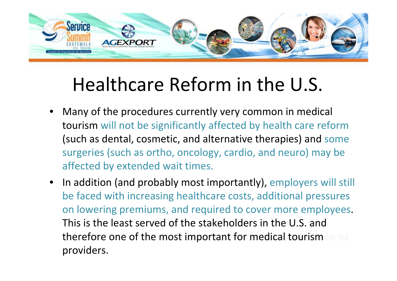

## Healthcare Reform in the U.S.

- • Many of the procedures currently very common in medical tourism will not be significantly affected by health care reform (such as dental, cosmetic, and alternative therapies) and some surgeries (such as ortho, oncology, cardio, and neuro) may be affected by extended wait times.
- In addition (and probably most importantly), employers will still be faced with increasing healthcare costs, additional pressures on lowering premiums, and required to cover more employees. This is the least served of the stakeholders in the U.S. and therefore one of the most important for medical tourism providers.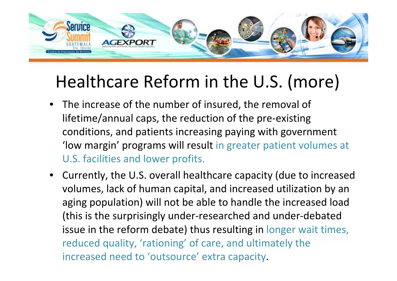

### Healthcare Reform in the U.S. (more)

- The increase of the number of insured, the removal of lifetime/annual caps, the reduction of the pre-existing conditions, and patients increasing paying with government 'low margin' programs will result in greater patient volumes at U.S. facilities and lower profits.
- Currently, the U.S. overall healthcare capacity (due to increased volumes, lack of human capital, and increased utilization by an aging population) will not be able to handle the increased load (this is the surprisingly under-researched and under-debated issue in the reform debate) thus resulting in longer wait times, reduced quality, 'rationing' of care, and ultimately the increased need to 'outsource' extra capacity.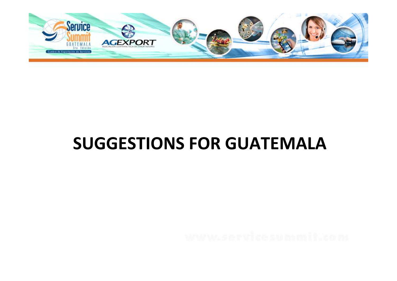

### SUGGESTIONS FOR GUATEMALA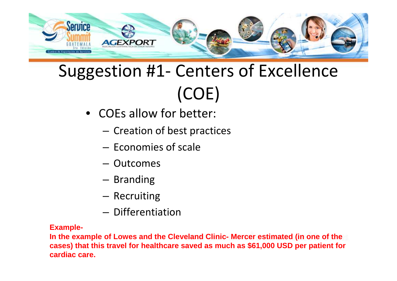

### Suggestion #1- Centers of Excellence (COE)

- COEs allow for better:
	- and the state of the  $-$  Creation of best practices
	- and the state of the  $-$  Economies of scale
	- Outcomes
	- and the state of the - Branding
	- and the state of the  $-$  Recruiting
	- and the state of the  $-$  Differentiation

### **Example-**

**In the example of Lowes and the Cleveland Clinic- Mercer estimated (in one of the cases) that this travel for healthcare saved as much as \$61,000 USD per patient for cardiac care.**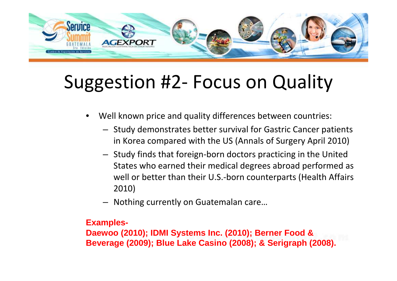

## Suggestion #2- Focus on Quality

- • Well known price and quality differences between countries:
	- Study demonstrates better survival for Gastric Cancer patients in Korea compared with the US (Annals of Surgery April 2010)
	- Study finds that foreign-born doctors practicing in the United States who earned their medical degrees abroad performed as well or better than their U.S.-born counterparts (Health Affairs 2010)
	- –Nothing currently on Guatemalan care…

### **Examples-**

**Daewoo (2010); IDMI Systems Inc. (2010); Berner Food & Beverage (2009); Blue Lake Casino (2008); & Serigraph (2008).**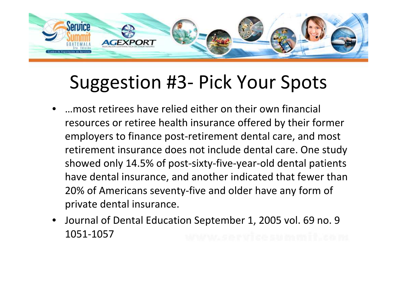

### Suggestion #3- Pick Your Spots

- • …most retirees have relied either on their own financial resources or retiree health insurance offered by their former employers to finance post-retirement dental care, and most retirement insurance does not include dental care. One study showed only 14.5% of post-sixty-five-year-old dental patients have dental insurance, and another indicated that fewer than 20% of Americans seventy-five and older have any form of private dental insurance.
- • Journal of Dental Education September 1, 2005 vol. 69 no. 9 1051-1057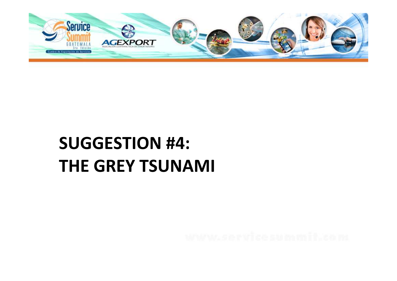

### SUGGESTION #4: THE GREY TSUNAMI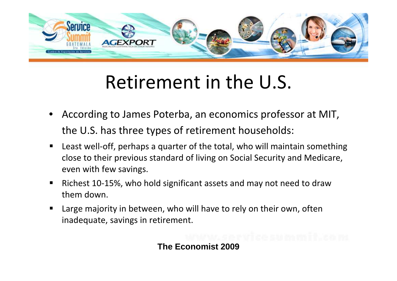

## Retirement in the U.S.

- • According to James Poterba, an economics professor at MIT, the U.S. has three types of retirement households:
- $\blacksquare$  Least well-off, perhaps a quarter of the total, who will maintain something close to their previous standard of living on Social Security and Medicare, even with few savings.
- $\blacksquare$  Richest 10-15%, who hold significant assets and may not need to draw them down.
- $\blacksquare$  Large majority in between, who will have to rely on their own, often inadequate, savings in retirement.

**The Economist 2009**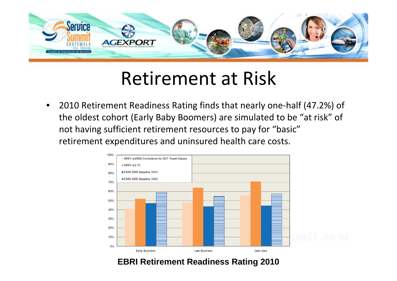

### Retirement at Risk

• 2010 Retirement Readiness Rating finds that nearly one-half (47.2%) of the oldest cohort (Early Baby Boomers) are simulated to be "at risk" of not having sufficient retirement resources to pay for "basic"retirement expenditures and uninsured health care costs.



### **EBRI Retirement Readiness Rating 2010**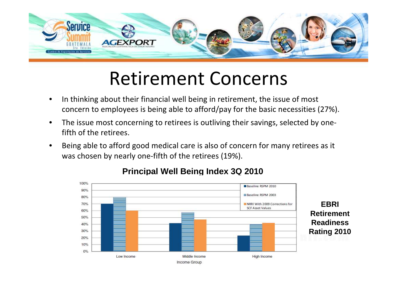

### Retirement Concerns

- • In thinking about their financial well being in retirement, the issue of most concern to employees is being able to afford/pay for the basic necessities (27%).
- • The issue most concerning to retirees is outliving their savings, selected by onefifth of the retirees.
- • Being able to afford good medical care is also of concern for many retirees as it was chosen by nearly one-fifth of the retirees (19%).



### **Principal Well Being Index 3Q 2010**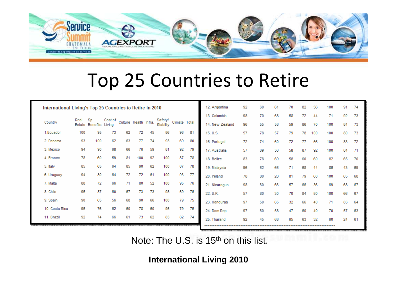

### Top 25 Countries to Retire

|                | International Living's Top 25 Countries to Retire in 2010 |                 |                   |    |                       |    | 12. Argentina        | 92            | 60 | 61              | 70 | 82 | 56 | 100 | 91 | 74  |     |    |     |
|----------------|-----------------------------------------------------------|-----------------|-------------------|----|-----------------------|----|----------------------|---------------|----|-----------------|----|----|----|-----|----|-----|-----|----|-----|
|                |                                                           |                 |                   |    |                       |    |                      |               |    | 13. Colombia    | 98 | 70 | 68 | 58  | 72 | 44  | 71  | 92 | 73  |
| Country        | Real<br>Estate                                            | Sp.<br>Benefits | Cost of<br>Living |    | Culture Health Infra. |    | Safety/<br>Stability | Climate Total |    | 14. New Zealand | 96 | 55 | 58 | 59  | 86 | 70  | 100 | 84 | 73  |
| 1.Ecuador      | 100                                                       | 95              | 73                | 62 | 72                    | 45 | 86                   | 96            | 81 | 15. U.S.        | 57 | 78 | 57 | 79  | 78 | 100 | 100 | 80 | 73  |
| 2. Panama      | 93                                                        | 100             | 62                | 63 | 77                    | 74 | 93                   | 69            | 80 | 16. Portugal    | 72 | 74 | 60 | 72  | 77 | 56  | 100 | 83 | -72 |
| 3. Mexico      | 94                                                        | 90              | 68                | 66 | 76                    | 59 | 81                   | 92            | 79 | 17. Australia   | 57 | 69 | 56 | 58  | 87 | 92  | 100 | 84 |     |
| 4. France      | 78                                                        | 60              | 59                | 81 | 100                   | 92 | 100                  | 87            | 78 | 18. Belize      | 83 | 78 | 69 | 58  | 60 | 60  | 82  | 65 | 70  |
| 5. Italy       | 85                                                        | 65              | 64                | 85 | 90                    | 62 | 100                  | 87            | 78 | 19. Malaysia    | 96 | 62 | 66 | 71  | 68 | 44  | 86  | 43 | 69  |
| 6. Uruguay     | 94                                                        | 80              | 64                | 72 | 72                    | 61 | 100                  | 93            | 77 | 20. Ireland     | 78 | 80 | 28 | 81  | 79 | 60  | 100 | 65 | 68  |
| 7. Malta       | 88                                                        | 72              | 66                | 71 | 80                    | 52 | 100                  | 95            | 76 | 21. Nicaragua   | 98 | 60 | 66 | 57  | 66 | 36  | 69  | 68 | -67 |
| 8. Chile       | 95                                                        | 87              | 60                | 67 | 73                    | 73 | 98                   | 59            | 76 | 22. U.K.        | 57 | 80 | 30 | 70  | 84 | 80  | 100 | 66 | 67  |
| 9. Spain       | 90                                                        | 65              | 56                | 68 | 90                    | 66 | 100                  | 79            | 75 | 23. Honduras    | 97 | 50 | 65 | 32  | 66 | 40  | 71  | 83 | -64 |
| 10. Costa Rica | 95                                                        | 76              | 62                | 60 | 78                    | 60 | 95                   | 79            | 75 | 24. Dom Rep     | 97 | 60 | 58 | 47  | 60 | 40  | 70  | 57 | 63  |
| 11. Brazil     | 92                                                        | 74              | 66                | 61 | 73                    | 62 | 83                   | 82            | 74 | 25. Thailand    | 92 | 45 | 68 | 65  | 63 | 32  | 60  | 24 | -61 |
|                |                                                           |                 |                   |    |                       |    |                      |               |    |                 |    |    |    |     |    |     |     |    |     |

Note: The U.S. is 15<sup>th</sup> on this list.

**International Living 2010**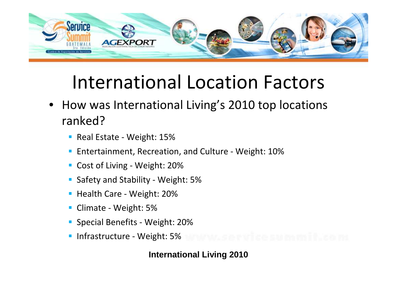

### International Location Factors

- • How was International Living's 2010 top locations ranked?
	- Real Estate Weight: 15%
	- **Entertainment, Recreation, and Culture Weight: 10%**
	- Cost of Living Weight: 20%
	- Safety and Stability Weight: 5%
	- Health Care Weight: 20%
	- Climate Weight: 5%
	- **Special Benefits Weight: 20%**
	- **Infrastructure Weight: 5%**

### **International Living 2010**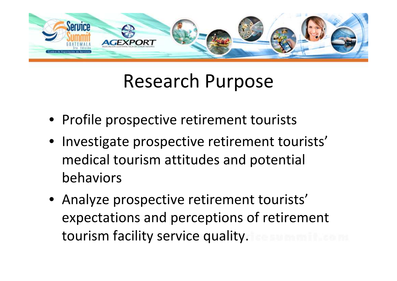

### Research Purpose

- Profile prospective retirement tourists
- Investigate prospective retirement tourists' medical tourism attitudes and potential behaviors
- Analyze prospective retirement tourists' expectations and perceptions of retirement tourism facility service quality.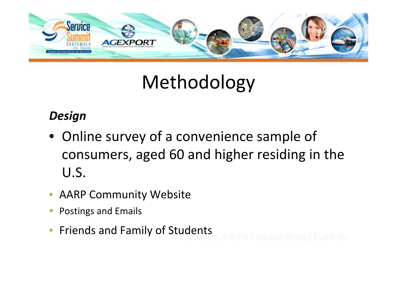

## Methodology

### Design

- Online survey of a convenience sample of consumers, aged 60 and higher residing in the U.S.
- $\bullet$ AARP Community Website
- $\overline{\phantom{a}}$ Postings and Emails
- $\bullet$ Friends and Family of Students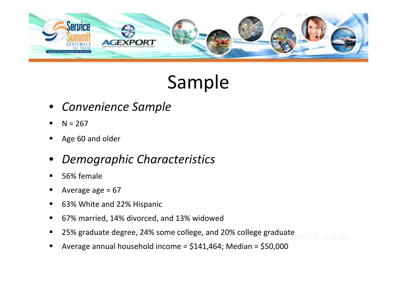

## Sample

- •Convenience Sample
- $\blacksquare$  $N = 267$
- $\blacksquare$ Age 60 and older
- •Demographic Characteristics
- $\blacksquare$ 56% female
- $\blacksquare$ Average age  $= 67$
- $\blacksquare$ 63% White and 22% Hispanic
- $\blacksquare$ 67% married, 14% divorced, and 13% widowed
- $\blacksquare$ 25% graduate degree, 24% some college, and 20% college graduate
- $\blacksquare$ Average annual household income = \$141,464; Median = \$50,000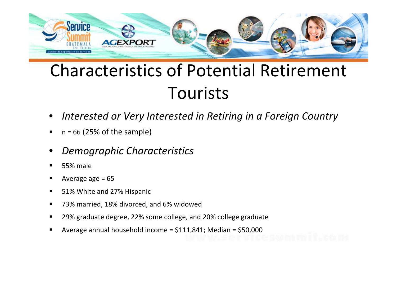

- •Interested or Very Interested in Retiring in a Foreign Country
- $\blacksquare$  $\blacksquare$  n = 66 (25% of the sample)
- •Demographic Characteristics
- $\blacksquare$ 55% male
- $\blacksquare$ Average age  $= 65$
- $\blacksquare$ 51% White and 27% Hispanic
- $\blacksquare$ 73% married, 18% divorced, and 6% widowed
- $\blacksquare$ 29% graduate degree, 22% some college, and 20% college graduate
- л Average annual household income = \$111,841; Median = \$50,000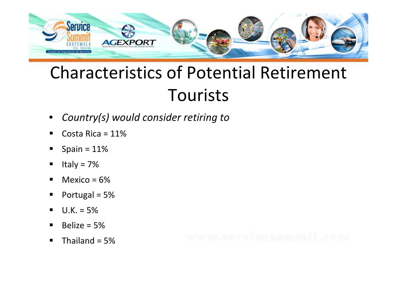

- •Country(s) would consider retiring to
- $\blacksquare$ Costa Rica = 11%
- $\blacksquare$ Spain =  $11%$
- $\blacksquare$ Italy =  $7%$
- $\blacksquare$ Mexico =  $6%$
- Portugal = 5%
- $\blacksquare$  $U.K. = 5%$
- $\blacksquare$ Belize =  $5%$
- $\blacksquare$ Thailand  $= 5\%$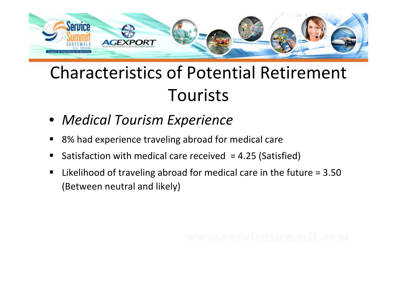

- Medical Tourism Experience
- $\blacksquare$ 8% had experience traveling abroad for medical care
- $\blacksquare$ Satisfaction with medical care received = 4.25 (Satisfied)
- $\blacksquare$  Likelihood of traveling abroad for medical care in the future = 3.50 (Between neutral and likely)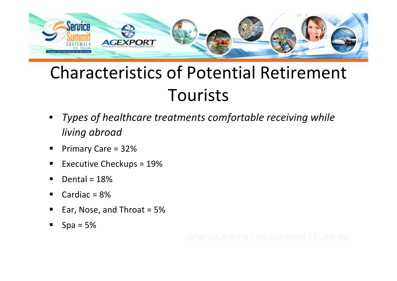

- • Types of healthcare treatments comfortable receiving while living abroad
- $\blacksquare$ Primary Care = 32%
- Executive Checkups = 19%
- $\blacksquare$ Dental =  $18%$
- $\blacksquare$ Cardiac  $= 8\%$
- $\blacksquare$ Ear, Nose, and Throat = 5%
- П  $Spa = 5%$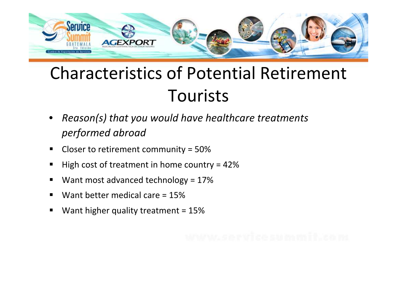

- • Reason(s) that you would have healthcare treatments performed abroad
- $\blacksquare$ Closer to retirement community = 50%
- $\blacksquare$ High cost of treatment in home country = 42%
- $\blacksquare$ Want most advanced technology = 17%
- $\blacksquare$ Want better medical care = 15%
- $\blacksquare$ Want higher quality treatment = 15%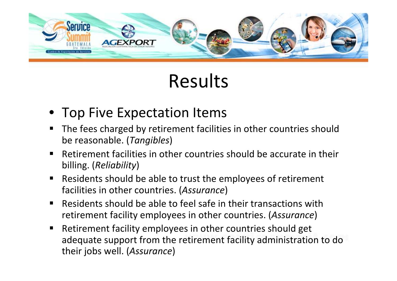

## Results

- Top Five Expectation Items
- $\blacksquare$  The fees charged by retirement facilities in other countries should be reasonable. (Tangibles)
- $\blacksquare$  Retirement facilities in other countries should be accurate in their billing. (Reliability)
- $\blacksquare$  Residents should be able to trust the employees of retirement facilities in other countries. (Assurance)
- $\blacksquare$  Residents should be able to feel safe in their transactions withretirement facility employees in other countries. (*Assurance*)
- $\blacksquare$  Retirement facility employees in other countries should get adequate support from the retirement facility administration to do their jobs well. (Assurance)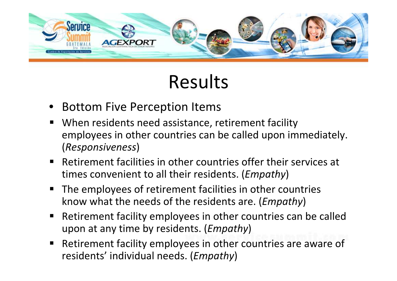

### Results

- Bottom Five Perception Items
- **When residents need assistance, retirement facility** employees in other countries can be called upon immediately.(Responsiveness)
- **Retirement facilities in other countries offer their services at** times convenient to all their residents. (*Empathy*)
- $\blacksquare$  The employees of retirement facilities in other countries know what the needs of the residents are. (Empathy)
- Retirement facility employees in other countries can be called upon at any time by residents. (*Empathy*)
- $\blacksquare$  Retirement facility employees in other countries are aware of residents' individual needs. (*Empathy*)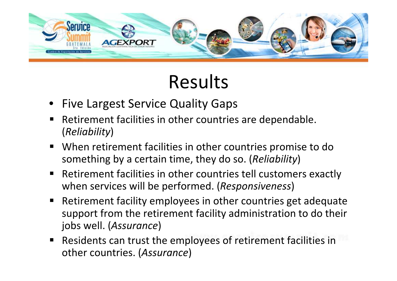

## Results

- Five Largest Service Quality Gaps
- $\blacksquare$  Retirement facilities in other countries are dependable. (Reliability)
- **Notable 1 and 1 Septem** When retirement facilities in other countries promise to do something by a certain time, they do so. (Reliability)
- Retirement facilities in other countries tell customers exactly when services will be performed. (Responsiveness)
- Retirement facility employees in other countries get adequate support from the retirement facility administration to do their jobs well. (Assurance)
- **Residents can trust the employees of retirement facilities in** other countries. (Assurance)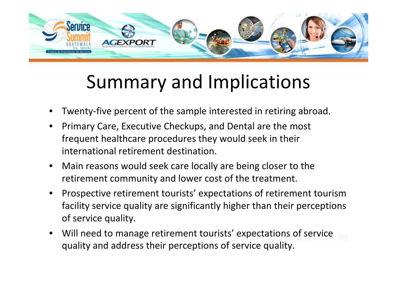

## Summary and Implications

- •Twenty-five percent of the sample interested in retiring abroad.
- • Primary Care, Executive Checkups, and Dental are the most frequent healthcare procedures they would seek in their international retirement destination.
- $\bullet$  Main reasons would seek care locally are being closer to the retirement community and lower cost of the treatment.
- • Prospective retirement tourists' expectations of retirement tourism facility service quality are significantly higher than their perceptions of service quality.
- $\bullet$  Will need to manage retirement tourists' expectations of service quality and address their perceptions of service quality.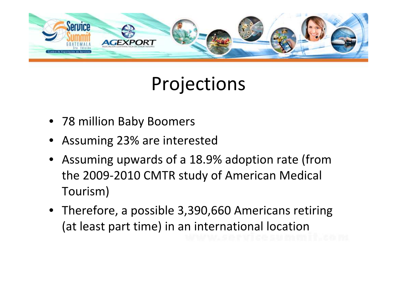

### Projections

- 78 million Baby Boomers
- Assuming 23% are interested
- Assuming upwards of a 18.9% adoption rate (from the 2009-2010 CMTR study of American Medical Tourism)
- Therefore, a possible 3,390,660 Americans retiring (at least part time) in an international location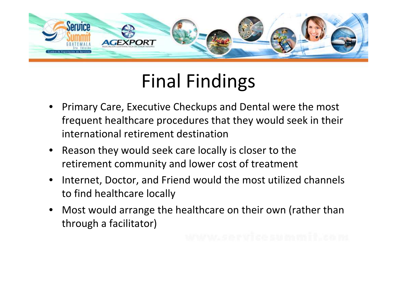

## Final Findings

- • Primary Care, Executive Checkups and Dental were the most frequent healthcare procedures that they would seek in their international retirement destination
- Reason they would seek care locally is closer to the retirement community and lower cost of treatment
- • Internet, Doctor, and Friend would the most utilized channels to find healthcare locally
- $\bullet$  Most would arrange the healthcare on their own (rather than through a facilitator)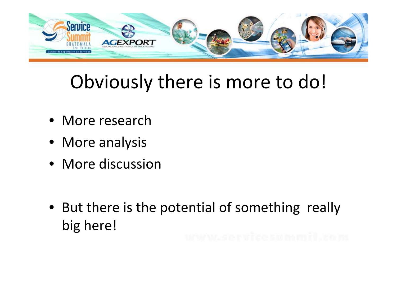

## Obviously there is more to do!

- More research
- More analysis
- More discussion
- But there is the potential of something really big here!